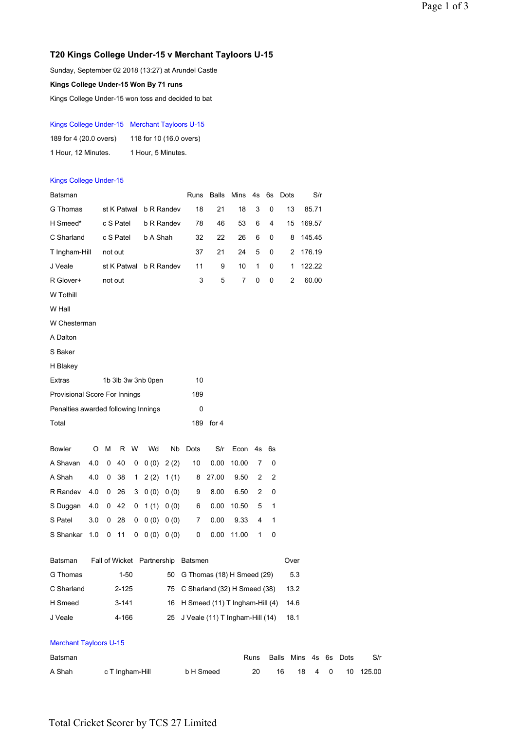## **T20 Kings College Under-15 v Merchant Tayloors U-15**

Sunday, September 02 2018 (13:27) at Arundel Castle **Kings College Under-15 Won By 71 runs**

Kings College Under-15 won toss and decided to bat

### Kings College Under-15 Merchant Tayloors U-15

| 189 for 4 (20.0 overs) | 118 for 10 (16.0 overs) |
|------------------------|-------------------------|
| 1 Hour, 12 Minutes.    | 1 Hour, 5 Minutes.      |

### Kings College Under-15

| Batsman                             |                 |         |                        |              |                        |            | Runs                               |                                  | Balls Mins 4s |           | 6s    | Dots |            | S/r    |    |        |     |
|-------------------------------------|-----------------|---------|------------------------|--------------|------------------------|------------|------------------------------------|----------------------------------|---------------|-----------|-------|------|------------|--------|----|--------|-----|
| G Thomas                            |                 |         |                        |              | st K Patwal b R Randev |            | 18                                 | 21                               | 18            | 3         | 0     | 13   |            | 85.71  |    |        |     |
| H Smeed*                            |                 |         | c S Patel              |              |                        | b R Randev | 78                                 | 46                               | 53            | 6         | 4     | 15   |            | 169.57 |    |        |     |
| C Sharland                          |                 |         | c S Patel              |              | b A Shah               |            | 32                                 | 22                               | 26            | 6         | 0     | 8    |            | 145.45 |    |        |     |
| T Ingham-Hill                       |                 |         | not out                |              |                        |            |                                    | 37<br>21                         | 24            | 5         | 0     | 2    |            | 176.19 |    |        |     |
| J Veale                             |                 |         | st K Patwal b R Randev |              |                        |            | 11                                 | 9                                | 10            | 1         | 0     | 1    |            | 122.22 |    |        |     |
| R Glover+                           |                 | not out |                        |              |                        | 3          | 5                                  | 7                                | 0             | $\pmb{0}$ | 2     |      | 60.00      |        |    |        |     |
| W Tothill                           |                 |         |                        |              |                        |            |                                    |                                  |               |           |       |      |            |        |    |        |     |
| W Hall                              |                 |         |                        |              |                        |            |                                    |                                  |               |           |       |      |            |        |    |        |     |
| W Chesterman                        |                 |         |                        |              |                        |            |                                    |                                  |               |           |       |      |            |        |    |        |     |
| A Dalton                            |                 |         |                        |              |                        |            |                                    |                                  |               |           |       |      |            |        |    |        |     |
| S Baker                             |                 |         |                        |              |                        |            |                                    |                                  |               |           |       |      |            |        |    |        |     |
| H Blakey                            |                 |         |                        |              |                        |            |                                    |                                  |               |           |       |      |            |        |    |        |     |
| Extras                              |                 |         |                        |              | 1b 3lb 3w 3nb 0pen     |            | 10                                 |                                  |               |           |       |      |            |        |    |        |     |
| Provisional Score For Innings       |                 |         |                        |              |                        |            | 189                                |                                  |               |           |       |      |            |        |    |        |     |
| Penalties awarded following Innings |                 |         |                        |              |                        |            | 0                                  |                                  |               |           |       |      |            |        |    |        |     |
| Total                               |                 |         |                        |              |                        |            |                                    | 189 for 4                        |               |           |       |      |            |        |    |        |     |
| Bowler                              | O               | м       |                        | R W          | Wd                     | Nb         | Dots                               | S/r                              | Econ 4s       |           | 6s    |      |            |        |    |        |     |
| A Shavan                            | 4.0             | 0       | 40                     | $\mathbf{0}$ |                        | 0(0) 2(2)  | 10                                 | 0.00                             | 10.00         | 7         | 0     |      |            |        |    |        |     |
| A Shah                              | 4.0             | 0       | 38                     | $\mathbf 1$  |                        | 2(2) 1(1)  | 8                                  | 27.00                            | 9.50          | 2         | 2     |      |            |        |    |        |     |
| R Randev                            | 4.0             | 0       | 26                     | 3            |                        | 0(0) 0(0)  | 9                                  | 8.00                             | 6.50          | 2         | 0     |      |            |        |    |        |     |
| S Duggan                            | 4.0             | 0       | 42                     | 0            |                        | 1(1) 0(0)  | 6                                  | 0.00                             | 10.50         | 5         | 1     |      |            |        |    |        |     |
| S Patel                             | 3.0             | 0       | 28                     | 0            |                        | 0(0) 0(0)  | 7                                  | 0.00                             | 9.33          | 4         | 1     |      |            |        |    |        |     |
| S Shankar                           | 1.0             | 0       | 11                     | 0            |                        | 0(0) 0(0)  | 0                                  | 0.00                             | 11.00         | 1         | 0     |      |            |        |    |        |     |
| Batsman                             |                 |         |                        |              |                        |            | Fall of Wicket Partnership Batsmen |                                  |               |           |       | Over |            |        |    |        |     |
| G Thomas                            |                 |         | $1 - 50$               |              |                        | 50         |                                    | G Thomas (18) H Smeed (29)       |               |           |       |      | 5.3        |        |    |        |     |
| C Sharland                          |                 |         | $2 - 125$              |              |                        |            |                                    | 75 C Sharland (32) H Smeed (38)  |               |           |       |      |            |        |    |        |     |
| H Smeed                             |                 |         | $3 - 141$              |              |                        | 16         |                                    | H Smeed (11) T Ingham-Hill (4)   |               |           |       |      | 14.6       |        |    |        |     |
| J Veale                             |                 |         | 4-166                  |              |                        | 25         | J Veale (11) T Ingham-Hill (14)    |                                  |               |           |       | 18.1 |            |        |    |        |     |
| <b>Merchant Tayloors U-15</b>       |                 |         |                        |              |                        |            |                                    |                                  |               |           |       |      |            |        |    |        |     |
| Batsman                             |                 |         |                        |              |                        |            |                                    |                                  |               | Runs      | Balls |      | Mins 4s 6s |        |    | Dots   | S/r |
| A Shah                              | c T Ingham-Hill |         |                        |              |                        |            |                                    | b H Smeed<br>20<br>16<br>18<br>4 |               |           |       |      |            | 0      | 10 | 125.00 |     |

# Total Cricket Scorer by TCS 27 Limited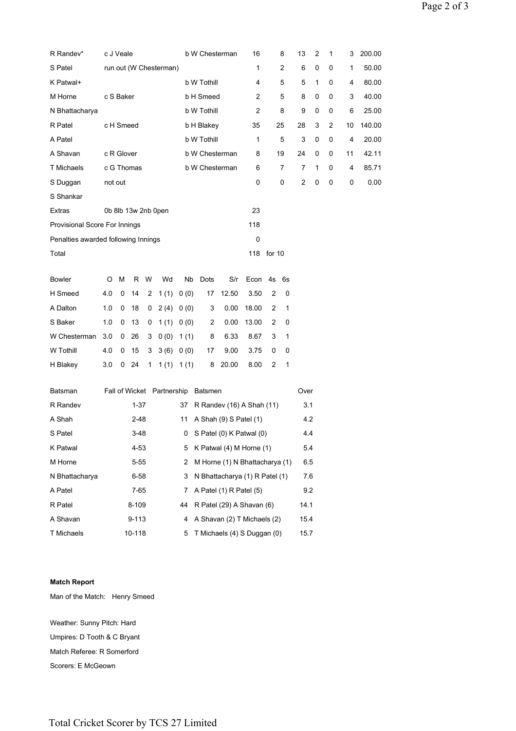| R Randev*                           |                                               | c J Veale                 |            |              |           |             | b W Chesterman<br>16               |                                                     |            |              | 8            | 13             | 2         | 1      | 3     | 200.00 |
|-------------------------------------|-----------------------------------------------|---------------------------|------------|--------------|-----------|-------------|------------------------------------|-----------------------------------------------------|------------|--------------|--------------|----------------|-----------|--------|-------|--------|
| S Patel                             | run out (W Chesterman)                        |                           |            |              | 1         |             | 2                                  | 6                                                   | 0          | 0            | 1            | 50.00          |           |        |       |        |
| K Patwal+                           | b W Tothill                                   |                           |            |              |           | 4           |                                    | 5                                                   | 5          | $\mathbf{1}$ | 0            | 4              | 80.00     |        |       |        |
| M Horne                             | c S Baker<br>b H Smeed                        |                           |            |              |           | 2           |                                    | 5                                                   | 8          | 0            | 0            | 3              | 40.00     |        |       |        |
| N Bhattacharya                      |                                               |                           |            |              |           | b W Tothill |                                    | $\overline{c}$                                      |            | 8            | 9            | $\mathbf 0$    | 0         | 6      | 25.00 |        |
| R Patel                             |                                               | c H Smeed<br>b H Blakey   |            |              |           |             | 35                                 |                                                     | 25         | 28           | 3            | 2              | 10        | 140.00 |       |        |
| A Patel                             |                                               | b W Tothill               |            |              |           |             |                                    |                                                     | 1          |              | 5            | 3              | $\pmb{0}$ | 0      | 4     | 20.00  |
| A Shavan                            | c R Glover                                    |                           |            |              |           |             | b W Chesterman                     |                                                     |            | 19           |              | 24             | 0         | 0      | 11    | 42.11  |
| <b>T</b> Michaels                   |                                               |                           | c G Thomas |              |           |             | b W Chesterman                     |                                                     | 6          |              | 7            | 7              | 1         | 0      | 4     | 85.71  |
| S Duggan                            | not out                                       |                           |            |              |           |             |                                    |                                                     | 0          |              | 0            | $\overline{2}$ | 0         | 0      | 0     | 0.00   |
| S Shankar                           |                                               |                           |            |              |           |             |                                    |                                                     |            |              |              |                |           |        |       |        |
| Extras                              |                                               | 0b 8lb 13w 2nb 0pen<br>23 |            |              |           |             |                                    |                                                     |            |              |              |                |           |        |       |        |
| Provisional Score For Innings       |                                               |                           |            |              |           |             |                                    | 118                                                 |            |              |              |                |           |        |       |        |
| Penalties awarded following Innings |                                               |                           |            |              |           |             |                                    |                                                     | 0          |              |              |                |           |        |       |        |
| Total                               |                                               |                           |            |              |           |             |                                    |                                                     | 118 for 10 |              |              |                |           |        |       |        |
|                                     |                                               |                           |            |              |           |             |                                    |                                                     |            |              |              |                |           |        |       |        |
| <b>Bowler</b>                       | O                                             | M                         |            | R W          | Wd        | Nb          | Dots                               | S/r                                                 | Econ 4s    |              | 6s           |                |           |        |       |        |
| H Smeed                             | 4.0                                           | 0                         | 14         | 2            | 1(1)      | 0(0)        | 17                                 | 12.50                                               | 3.50       | 2            | 0            |                |           |        |       |        |
| A Dalton                            | 1.0                                           | 0                         | 18         | 0            | 2(4) 0(0) |             | 3                                  | 0.00                                                | 18.00      | 2            | 1            |                |           |        |       |        |
| S Baker                             | 1.0                                           | 0                         | 13         | 0            | 1(1) 0(0) |             | 2                                  | 0.00                                                | 13.00      | 2            | 0            |                |           |        |       |        |
| W Chesterman                        | 3.0                                           | 0                         | 26         | 3            | 0(0)      | 1 $(1)$     | 8                                  | 6.33                                                | 8.67       | 3            | 1            |                |           |        |       |        |
| W Tothill                           | 4.0                                           | 0                         | 15         | 3            | 3(6) 0(0) |             | 17                                 | 9.00                                                | 3.75       | 0            | 0            |                |           |        |       |        |
| H Blakey                            | 3.0                                           | $\mathbf{0}$              | 24         | $\mathbf{1}$ |           | 1(1) 1(1)   | 8                                  | 20.00                                               | 8.00       | 2            | $\mathbf{1}$ |                |           |        |       |        |
| Batsman                             |                                               |                           |            |              |           |             | Fall of Wicket Partnership Batsmen |                                                     |            |              |              | Over           |           |        |       |        |
| R Randev                            |                                               |                           | $1 - 37$   |              |           | 37          |                                    | 3.1                                                 |            |              |              |                |           |        |       |        |
| A Shah                              |                                               | 2-48<br>11                |            |              |           |             |                                    | R Randev (16) A Shah (11)<br>A Shah (9) S Patel (1) |            |              |              |                | 4.2       |        |       |        |
| S Patel                             | 3-48                                          |                           |            |              |           |             | $0$ S Patel $(0)$ K Patwal $(0)$   |                                                     |            |              |              |                | 4.4       |        |       |        |
| K Patwal                            | 4-53                                          |                           |            |              |           | 5           | K Patwal (4) M Horne (1)           |                                                     |            |              |              | 5.4            |           |        |       |        |
| M Horne                             |                                               |                           | $5 - 55$   |              |           | 2           | M Horne (1) N Bhattacharya (1)     |                                                     |            |              |              | 6.5            |           |        |       |        |
| N Bhattacharya                      | 6-58<br>3                                     |                           |            |              |           |             | N Bhattacharya (1) R Patel (1)     |                                                     |            |              |              |                |           |        |       |        |
| A Patel                             | 7-65<br>7                                     |                           |            |              |           |             | A Patel (1) R Patel (5)            |                                                     |            |              |              | 9.2            |           |        |       |        |
| R Patel                             | 8-109<br>R Patel (29) A Shavan (6)<br>44      |                           |            |              |           |             |                                    |                                                     | 14.1       |              |              |                |           |        |       |        |
| A Shavan                            | $9 - 113$<br>A Shavan (2) T Michaels (2)<br>4 |                           |            |              |           |             |                                    |                                                     | 15.4       |              |              |                |           |        |       |        |
| <b>T</b> Michaels                   | 10-118<br>T Michaels (4) S Duggan (0)<br>5    |                           |            |              |           |             |                                    |                                                     |            |              | 15.7         |                |           |        |       |        |
|                                     |                                               |                           |            |              |           |             |                                    |                                                     |            |              |              |                |           |        |       |        |

#### **Match Report**

Man of the Match: Henry Smeed

Weather: Sunny Pitch: Hard Umpires: D Tooth & C Bryant Match Referee: R Somerford Scorers: E McGeown